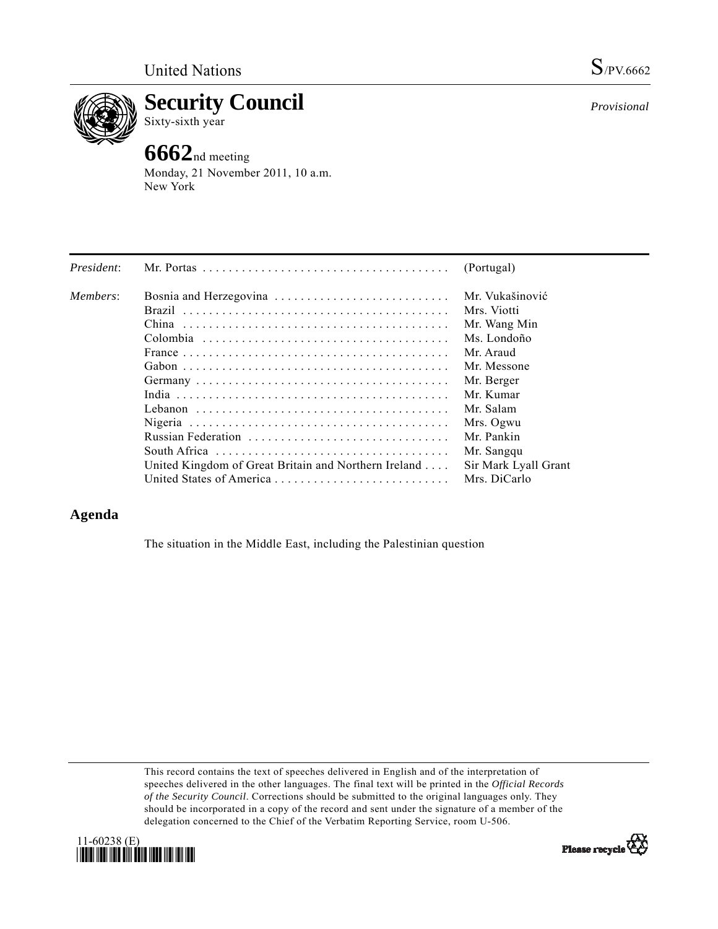

**Security Council** 

Sixty-sixth year

## **6662**nd meeting

Monday, 21 November 2011, 10 a.m. New York

| President: |                                                      | (Portugal)           |
|------------|------------------------------------------------------|----------------------|
| Members:   | Bosnia and Herzegovina                               | Mr. Vukašinović      |
|            |                                                      | Mrs. Viotti          |
|            |                                                      | Mr. Wang Min         |
|            |                                                      | Ms. Londoño          |
|            |                                                      | Mr. Araud            |
|            |                                                      | Mr. Messone          |
|            |                                                      | Mr. Berger           |
|            |                                                      | Mr. Kumar            |
|            |                                                      | Mr. Salam            |
|            |                                                      | Mrs. Ogwu            |
|            | Russian Federation                                   | Mr. Pankin           |
|            |                                                      | Mr. Sangqu           |
|            | United Kingdom of Great Britain and Northern Ireland | Sir Mark Lyall Grant |
|            |                                                      | Mrs. DiCarlo         |

## **Agenda**

The situation in the Middle East, including the Palestinian question

This record contains the text of speeches delivered in English and of the interpretation of speeches delivered in the other languages. The final text will be printed in the *Official Records of the Security Council*. Corrections should be submitted to the original languages only. They should be incorporated in a copy of the record and sent under the signature of a member of the delegation concerned to the Chief of the Verbatim Reporting Service, room U-506.





*Provisional*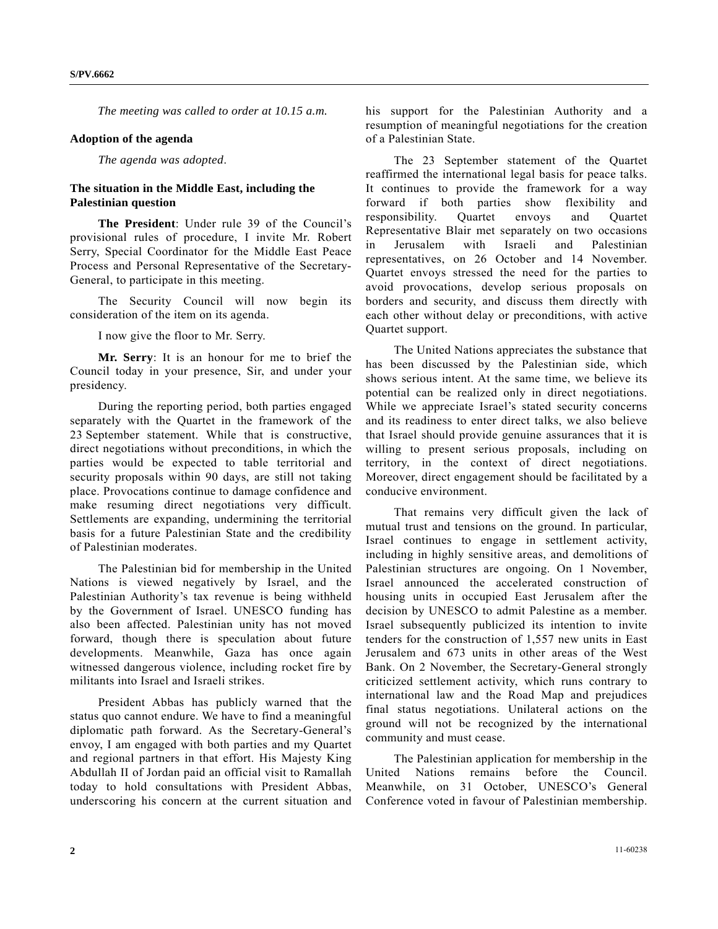*The meeting was called to order at 10.15 a.m.* 

## **Adoption of the agenda**

*The agenda was adopted*.

## **The situation in the Middle East, including the Palestinian question**

**The President**: Under rule 39 of the Council's provisional rules of procedure, I invite Mr. Robert Serry, Special Coordinator for the Middle East Peace Process and Personal Representative of the Secretary-General, to participate in this meeting.

 The Security Council will now begin its consideration of the item on its agenda.

I now give the floor to Mr. Serry.

**Mr. Serry**: It is an honour for me to brief the Council today in your presence, Sir, and under your presidency.

 During the reporting period, both parties engaged separately with the Quartet in the framework of the 23 September statement. While that is constructive, direct negotiations without preconditions, in which the parties would be expected to table territorial and security proposals within 90 days, are still not taking place. Provocations continue to damage confidence and make resuming direct negotiations very difficult. Settlements are expanding, undermining the territorial basis for a future Palestinian State and the credibility of Palestinian moderates.

 The Palestinian bid for membership in the United Nations is viewed negatively by Israel, and the Palestinian Authority's tax revenue is being withheld by the Government of Israel. UNESCO funding has also been affected. Palestinian unity has not moved forward, though there is speculation about future developments. Meanwhile, Gaza has once again witnessed dangerous violence, including rocket fire by militants into Israel and Israeli strikes.

 President Abbas has publicly warned that the status quo cannot endure. We have to find a meaningful diplomatic path forward. As the Secretary-General's envoy, I am engaged with both parties and my Quartet and regional partners in that effort. His Majesty King Abdullah II of Jordan paid an official visit to Ramallah today to hold consultations with President Abbas, underscoring his concern at the current situation and

his support for the Palestinian Authority and a resumption of meaningful negotiations for the creation of a Palestinian State.

 The 23 September statement of the Quartet reaffirmed the international legal basis for peace talks. It continues to provide the framework for a way forward if both parties show flexibility and responsibility. Quartet envoys and Quartet Representative Blair met separately on two occasions in Jerusalem with Israeli and Palestinian representatives, on 26 October and 14 November. Quartet envoys stressed the need for the parties to avoid provocations, develop serious proposals on borders and security, and discuss them directly with each other without delay or preconditions, with active Quartet support.

 The United Nations appreciates the substance that has been discussed by the Palestinian side, which shows serious intent. At the same time, we believe its potential can be realized only in direct negotiations. While we appreciate Israel's stated security concerns and its readiness to enter direct talks, we also believe that Israel should provide genuine assurances that it is willing to present serious proposals, including on territory, in the context of direct negotiations. Moreover, direct engagement should be facilitated by a conducive environment.

 That remains very difficult given the lack of mutual trust and tensions on the ground. In particular, Israel continues to engage in settlement activity, including in highly sensitive areas, and demolitions of Palestinian structures are ongoing. On 1 November, Israel announced the accelerated construction of housing units in occupied East Jerusalem after the decision by UNESCO to admit Palestine as a member. Israel subsequently publicized its intention to invite tenders for the construction of 1,557 new units in East Jerusalem and 673 units in other areas of the West Bank. On 2 November, the Secretary-General strongly criticized settlement activity, which runs contrary to international law and the Road Map and prejudices final status negotiations. Unilateral actions on the ground will not be recognized by the international community and must cease.

 The Palestinian application for membership in the United Nations remains before the Council. Meanwhile, on 31 October, UNESCO's General Conference voted in favour of Palestinian membership.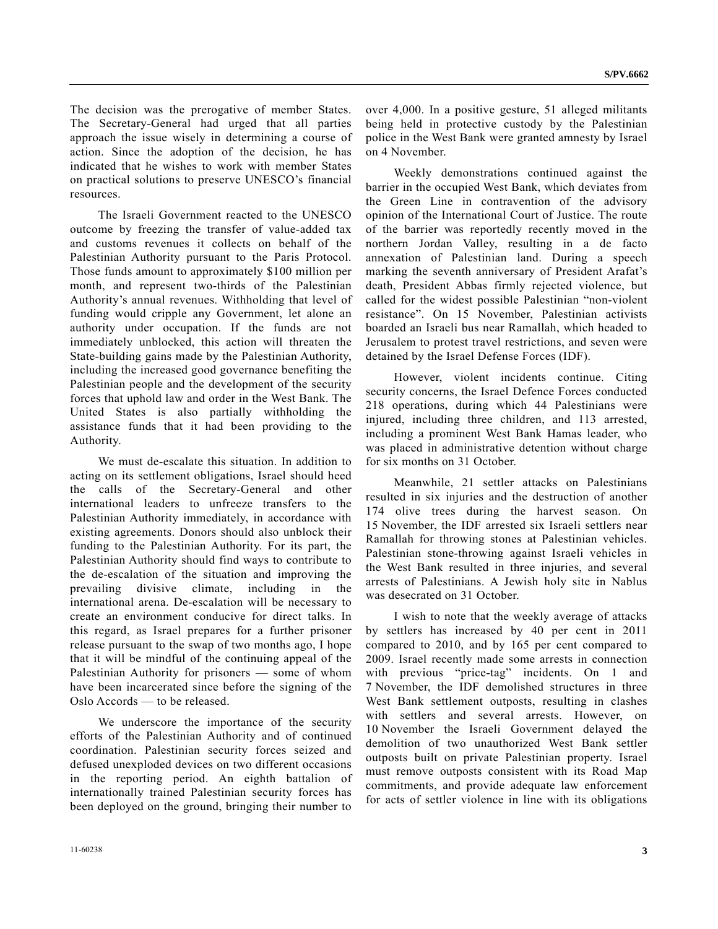The decision was the prerogative of member States. The Secretary-General had urged that all parties approach the issue wisely in determining a course of action. Since the adoption of the decision, he has indicated that he wishes to work with member States on practical solutions to preserve UNESCO's financial resources.

 The Israeli Government reacted to the UNESCO outcome by freezing the transfer of value-added tax and customs revenues it collects on behalf of the Palestinian Authority pursuant to the Paris Protocol. Those funds amount to approximately \$100 million per month, and represent two-thirds of the Palestinian Authority's annual revenues. Withholding that level of funding would cripple any Government, let alone an authority under occupation. If the funds are not immediately unblocked, this action will threaten the State-building gains made by the Palestinian Authority, including the increased good governance benefiting the Palestinian people and the development of the security forces that uphold law and order in the West Bank. The United States is also partially withholding the assistance funds that it had been providing to the Authority.

 We must de-escalate this situation. In addition to acting on its settlement obligations, Israel should heed the calls of the Secretary-General and other international leaders to unfreeze transfers to the Palestinian Authority immediately, in accordance with existing agreements. Donors should also unblock their funding to the Palestinian Authority. For its part, the Palestinian Authority should find ways to contribute to the de-escalation of the situation and improving the prevailing divisive climate, including in the international arena. De-escalation will be necessary to create an environment conducive for direct talks. In this regard, as Israel prepares for a further prisoner release pursuant to the swap of two months ago, I hope that it will be mindful of the continuing appeal of the Palestinian Authority for prisoners — some of whom have been incarcerated since before the signing of the Oslo Accords — to be released.

 We underscore the importance of the security efforts of the Palestinian Authority and of continued coordination. Palestinian security forces seized and defused unexploded devices on two different occasions in the reporting period. An eighth battalion of internationally trained Palestinian security forces has been deployed on the ground, bringing their number to

over 4,000. In a positive gesture, 51 alleged militants being held in protective custody by the Palestinian police in the West Bank were granted amnesty by Israel on 4 November.

 Weekly demonstrations continued against the barrier in the occupied West Bank, which deviates from the Green Line in contravention of the advisory opinion of the International Court of Justice. The route of the barrier was reportedly recently moved in the northern Jordan Valley, resulting in a de facto annexation of Palestinian land. During a speech marking the seventh anniversary of President Arafat's death, President Abbas firmly rejected violence, but called for the widest possible Palestinian "non-violent resistance". On 15 November, Palestinian activists boarded an Israeli bus near Ramallah, which headed to Jerusalem to protest travel restrictions, and seven were detained by the Israel Defense Forces (IDF).

 However, violent incidents continue. Citing security concerns, the Israel Defence Forces conducted 218 operations, during which 44 Palestinians were injured, including three children, and 113 arrested, including a prominent West Bank Hamas leader, who was placed in administrative detention without charge for six months on 31 October.

 Meanwhile, 21 settler attacks on Palestinians resulted in six injuries and the destruction of another 174 olive trees during the harvest season. On 15 November, the IDF arrested six Israeli settlers near Ramallah for throwing stones at Palestinian vehicles. Palestinian stone-throwing against Israeli vehicles in the West Bank resulted in three injuries, and several arrests of Palestinians. A Jewish holy site in Nablus was desecrated on 31 October.

 I wish to note that the weekly average of attacks by settlers has increased by 40 per cent in 2011 compared to 2010, and by 165 per cent compared to 2009. Israel recently made some arrests in connection with previous "price-tag" incidents. On 1 and 7 November, the IDF demolished structures in three West Bank settlement outposts, resulting in clashes with settlers and several arrests. However, on 10 November the Israeli Government delayed the demolition of two unauthorized West Bank settler outposts built on private Palestinian property. Israel must remove outposts consistent with its Road Map commitments, and provide adequate law enforcement for acts of settler violence in line with its obligations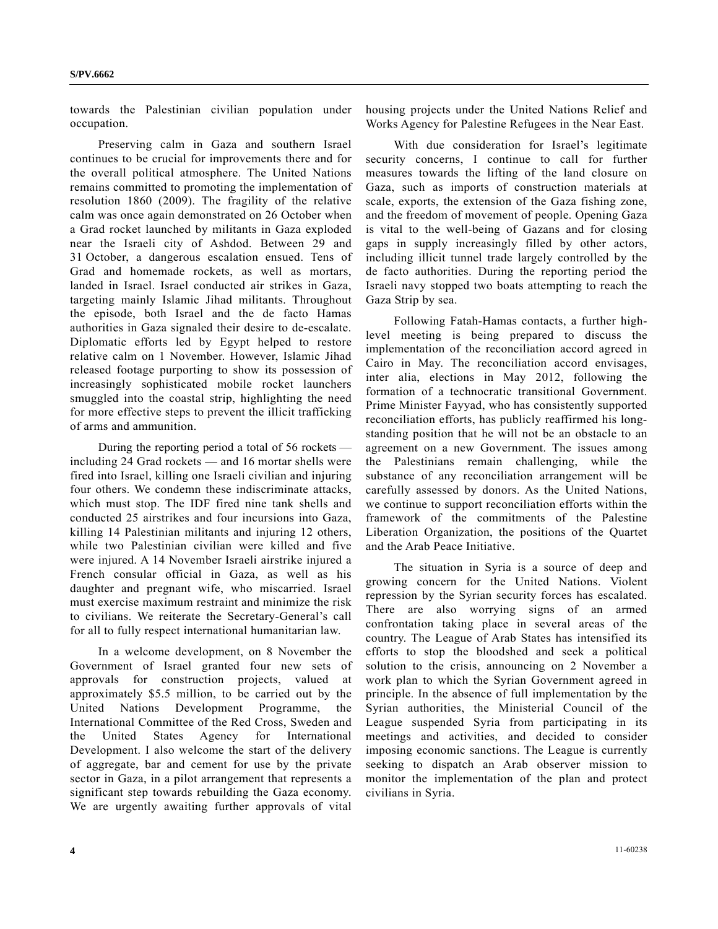towards the Palestinian civilian population under occupation.

 Preserving calm in Gaza and southern Israel continues to be crucial for improvements there and for the overall political atmosphere. The United Nations remains committed to promoting the implementation of resolution 1860 (2009). The fragility of the relative calm was once again demonstrated on 26 October when a Grad rocket launched by militants in Gaza exploded near the Israeli city of Ashdod. Between 29 and 31 October, a dangerous escalation ensued. Tens of Grad and homemade rockets, as well as mortars, landed in Israel. Israel conducted air strikes in Gaza, targeting mainly Islamic Jihad militants. Throughout the episode, both Israel and the de facto Hamas authorities in Gaza signaled their desire to de-escalate. Diplomatic efforts led by Egypt helped to restore relative calm on 1 November. However, Islamic Jihad released footage purporting to show its possession of increasingly sophisticated mobile rocket launchers smuggled into the coastal strip, highlighting the need for more effective steps to prevent the illicit trafficking of arms and ammunition.

 During the reporting period a total of 56 rockets including 24 Grad rockets — and 16 mortar shells were fired into Israel, killing one Israeli civilian and injuring four others. We condemn these indiscriminate attacks, which must stop. The IDF fired nine tank shells and conducted 25 airstrikes and four incursions into Gaza, killing 14 Palestinian militants and injuring 12 others, while two Palestinian civilian were killed and five were injured. A 14 November Israeli airstrike injured a French consular official in Gaza, as well as his daughter and pregnant wife, who miscarried. Israel must exercise maximum restraint and minimize the risk to civilians. We reiterate the Secretary-General's call for all to fully respect international humanitarian law.

 In a welcome development, on 8 November the Government of Israel granted four new sets of approvals for construction projects, valued at approximately \$5.5 million, to be carried out by the United Nations Development Programme, the International Committee of the Red Cross, Sweden and the United States Agency for International Development. I also welcome the start of the delivery of aggregate, bar and cement for use by the private sector in Gaza, in a pilot arrangement that represents a significant step towards rebuilding the Gaza economy. We are urgently awaiting further approvals of vital

housing projects under the United Nations Relief and Works Agency for Palestine Refugees in the Near East.

 With due consideration for Israel's legitimate security concerns, I continue to call for further measures towards the lifting of the land closure on Gaza, such as imports of construction materials at scale, exports, the extension of the Gaza fishing zone, and the freedom of movement of people. Opening Gaza is vital to the well-being of Gazans and for closing gaps in supply increasingly filled by other actors, including illicit tunnel trade largely controlled by the de facto authorities. During the reporting period the Israeli navy stopped two boats attempting to reach the Gaza Strip by sea.

 Following Fatah-Hamas contacts, a further highlevel meeting is being prepared to discuss the implementation of the reconciliation accord agreed in Cairo in May. The reconciliation accord envisages, inter alia, elections in May 2012, following the formation of a technocratic transitional Government. Prime Minister Fayyad, who has consistently supported reconciliation efforts, has publicly reaffirmed his longstanding position that he will not be an obstacle to an agreement on a new Government. The issues among the Palestinians remain challenging, while the substance of any reconciliation arrangement will be carefully assessed by donors. As the United Nations, we continue to support reconciliation efforts within the framework of the commitments of the Palestine Liberation Organization, the positions of the Quartet and the Arab Peace Initiative.

 The situation in Syria is a source of deep and growing concern for the United Nations. Violent repression by the Syrian security forces has escalated. There are also worrying signs of an armed confrontation taking place in several areas of the country. The League of Arab States has intensified its efforts to stop the bloodshed and seek a political solution to the crisis, announcing on 2 November a work plan to which the Syrian Government agreed in principle. In the absence of full implementation by the Syrian authorities, the Ministerial Council of the League suspended Syria from participating in its meetings and activities, and decided to consider imposing economic sanctions. The League is currently seeking to dispatch an Arab observer mission to monitor the implementation of the plan and protect civilians in Syria.